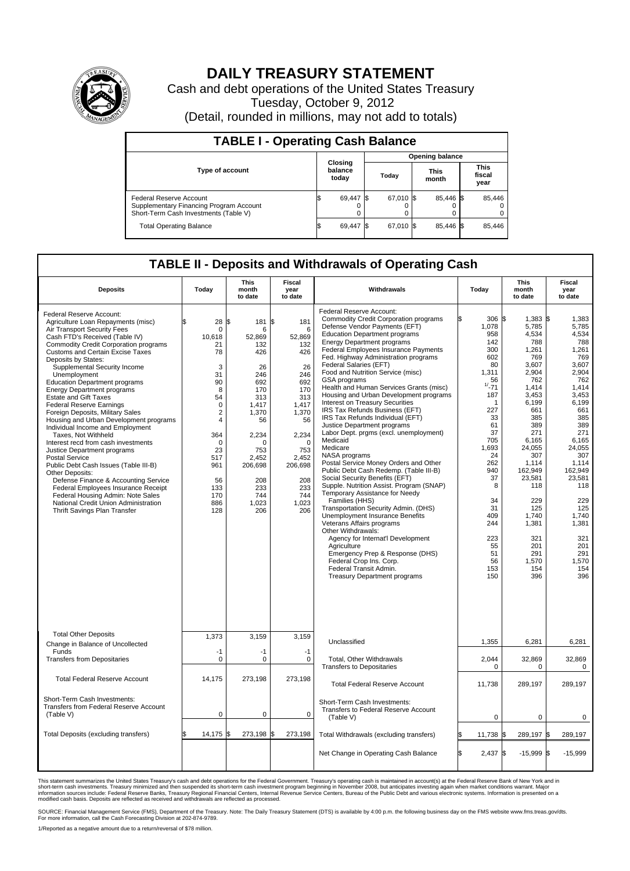

## **DAILY TREASURY STATEMENT**

Cash and debt operations of the United States Treasury Tuesday, October 9, 2012 (Detail, rounded in millions, may not add to totals)

| <b>TABLE I - Operating Cash Balance</b>                                                                     |                             |        |  |                               |  |                               |  |        |  |  |
|-------------------------------------------------------------------------------------------------------------|-----------------------------|--------|--|-------------------------------|--|-------------------------------|--|--------|--|--|
|                                                                                                             |                             |        |  | <b>Opening balance</b>        |  |                               |  |        |  |  |
| <b>Type of account</b>                                                                                      | Closing<br>balance<br>today |        |  | <b>This</b><br>Today<br>month |  | <b>This</b><br>fiscal<br>year |  |        |  |  |
| Federal Reserve Account<br>Supplementary Financing Program Account<br>Short-Term Cash Investments (Table V) |                             | 69,447 |  | 67,010 \$                     |  | 85,446 \$<br>0                |  | 85,446 |  |  |
| <b>Total Operating Balance</b>                                                                              |                             | 69,447 |  | 67.010 \$                     |  | 85.446 \$                     |  | 85,446 |  |  |

## **TABLE II - Deposits and Withdrawals of Operating Cash**

| <b>Deposits</b>                                                                                                                                                                                                                                                                                                                                                                                                                                                                                                                                                                                                                                                                                                                                                                                                                                                                                                                                   | Today                                                                                                                                                                        | <b>This</b><br>month<br>to date                                                                                                                                                          | <b>Fiscal</b><br>year<br>to date                                                                                                                                                         | Withdrawals                                                                                                                                                                                                                                                                                                                                                                                                                                                                                                                                                                                                                                                                                                                                                                                                                                                                                                                                                                                                                                                                                                                                                                                          | Today                                                                                                                                                                                                                                    | <b>This</b><br>month<br>to date                                                                                                                                                                                                                                                | Fiscal<br>year<br>to date                                                                                                                                                                                                                                                 |  |  |  |
|---------------------------------------------------------------------------------------------------------------------------------------------------------------------------------------------------------------------------------------------------------------------------------------------------------------------------------------------------------------------------------------------------------------------------------------------------------------------------------------------------------------------------------------------------------------------------------------------------------------------------------------------------------------------------------------------------------------------------------------------------------------------------------------------------------------------------------------------------------------------------------------------------------------------------------------------------|------------------------------------------------------------------------------------------------------------------------------------------------------------------------------|------------------------------------------------------------------------------------------------------------------------------------------------------------------------------------------|------------------------------------------------------------------------------------------------------------------------------------------------------------------------------------------|------------------------------------------------------------------------------------------------------------------------------------------------------------------------------------------------------------------------------------------------------------------------------------------------------------------------------------------------------------------------------------------------------------------------------------------------------------------------------------------------------------------------------------------------------------------------------------------------------------------------------------------------------------------------------------------------------------------------------------------------------------------------------------------------------------------------------------------------------------------------------------------------------------------------------------------------------------------------------------------------------------------------------------------------------------------------------------------------------------------------------------------------------------------------------------------------------|------------------------------------------------------------------------------------------------------------------------------------------------------------------------------------------------------------------------------------------|--------------------------------------------------------------------------------------------------------------------------------------------------------------------------------------------------------------------------------------------------------------------------------|---------------------------------------------------------------------------------------------------------------------------------------------------------------------------------------------------------------------------------------------------------------------------|--|--|--|
| Federal Reserve Account:<br>Agriculture Loan Repayments (misc)<br>Air Transport Security Fees<br>Cash FTD's Received (Table IV)<br><b>Commodity Credit Corporation programs</b><br><b>Customs and Certain Excise Taxes</b><br>Deposits by States:<br>Supplemental Security Income<br>Unemployment<br><b>Education Department programs</b><br><b>Energy Department programs</b><br><b>Estate and Gift Taxes</b><br><b>Federal Reserve Earnings</b><br>Foreign Deposits, Military Sales<br>Housing and Urban Development programs<br>Individual Income and Employment<br>Taxes, Not Withheld<br>Interest recd from cash investments<br>Justice Department programs<br><b>Postal Service</b><br>Public Debt Cash Issues (Table III-B)<br>Other Deposits:<br>Defense Finance & Accounting Service<br>Federal Employees Insurance Receipt<br>Federal Housing Admin: Note Sales<br>National Credit Union Administration<br>Thrift Savings Plan Transfer | 28<br>l\$<br>$\Omega$<br>10,618<br>21<br>78<br>3<br>31<br>90<br>8<br>54<br>$\mathbf 0$<br>2<br>4<br>364<br>$\mathbf 0$<br>23<br>517<br>961<br>56<br>133<br>170<br>886<br>128 | \$<br>181<br>6<br>52,869<br>132<br>426<br>26<br>246<br>692<br>170<br>313<br>1.417<br>1,370<br>56<br>2,234<br>$\mathbf 0$<br>753<br>2,452<br>206,698<br>208<br>233<br>744<br>1.023<br>206 | £.<br>181<br>6<br>52,869<br>132<br>426<br>26<br>246<br>692<br>170<br>313<br>1,417<br>1,370<br>56<br>2,234<br>$\mathbf 0$<br>753<br>2,452<br>206,698<br>208<br>233<br>744<br>1.023<br>206 | Federal Reserve Account:<br><b>Commodity Credit Corporation programs</b><br>Defense Vendor Payments (EFT)<br>Education Department programs<br><b>Energy Department programs</b><br>Federal Employees Insurance Payments<br>Fed. Highway Administration programs<br>Federal Salaries (EFT)<br>Food and Nutrition Service (misc)<br>GSA programs<br>Health and Human Services Grants (misc)<br>Housing and Urban Development programs<br>Interest on Treasury Securities<br>IRS Tax Refunds Business (EFT)<br>IRS Tax Refunds Individual (EFT)<br>Justice Department programs<br>Labor Dept. prgms (excl. unemployment)<br>Medicaid<br>Medicare<br>NASA programs<br>Postal Service Money Orders and Other<br>Public Debt Cash Redemp. (Table III-B)<br>Social Security Benefits (EFT)<br>Supple. Nutrition Assist. Program (SNAP)<br>Temporary Assistance for Needy<br>Families (HHS)<br>Transportation Security Admin. (DHS)<br>Unemployment Insurance Benefits<br>Veterans Affairs programs<br>Other Withdrawals:<br>Agency for Internat'l Development<br>Agriculture<br>Emergency Prep & Response (DHS)<br>Federal Crop Ins. Corp.<br>Federal Transit Admin.<br><b>Treasury Department programs</b> | l\$<br>306S<br>1,078<br>958<br>142<br>300<br>602<br>80<br>1,311<br>56<br>$1/ - 71$<br>187<br>-1<br>227<br>33<br>61<br>37<br>705<br>1,693<br>24<br>262<br>940<br>37<br>8<br>34<br>31<br>409<br>244<br>223<br>55<br>51<br>56<br>153<br>150 | $1,383$ \$<br>5,785<br>4,534<br>788<br>1,261<br>769<br>3,607<br>2,904<br>762<br>1.414<br>3,453<br>6,199<br>661<br>385<br>389<br>271<br>6.165<br>24,055<br>307<br>1,114<br>162,949<br>23,581<br>118<br>229<br>125<br>1,740<br>1,381<br>321<br>201<br>291<br>1.570<br>154<br>396 | 1,383<br>5,785<br>4,534<br>788<br>1,261<br>769<br>3,607<br>2,904<br>762<br>1,414<br>3,453<br>6,199<br>661<br>385<br>389<br>271<br>6.165<br>24,055<br>307<br>1,114<br>162,949<br>23,581<br>118<br>229<br>125<br>1,740<br>1,381<br>321<br>201<br>291<br>1.570<br>154<br>396 |  |  |  |
| <b>Total Other Deposits</b><br>Change in Balance of Uncollected                                                                                                                                                                                                                                                                                                                                                                                                                                                                                                                                                                                                                                                                                                                                                                                                                                                                                   | 1,373                                                                                                                                                                        | 3.159                                                                                                                                                                                    | 3.159                                                                                                                                                                                    | Unclassified                                                                                                                                                                                                                                                                                                                                                                                                                                                                                                                                                                                                                                                                                                                                                                                                                                                                                                                                                                                                                                                                                                                                                                                         | 1,355                                                                                                                                                                                                                                    | 6,281                                                                                                                                                                                                                                                                          | 6,281                                                                                                                                                                                                                                                                     |  |  |  |
| Funds<br><b>Transfers from Depositaries</b>                                                                                                                                                                                                                                                                                                                                                                                                                                                                                                                                                                                                                                                                                                                                                                                                                                                                                                       | $-1$<br>$\mathbf 0$                                                                                                                                                          | $-1$<br>$\mathbf 0$                                                                                                                                                                      | $-1$<br>$\mathbf 0$                                                                                                                                                                      | <b>Total. Other Withdrawals</b><br><b>Transfers to Depositaries</b>                                                                                                                                                                                                                                                                                                                                                                                                                                                                                                                                                                                                                                                                                                                                                                                                                                                                                                                                                                                                                                                                                                                                  | 2,044<br>$\mathbf 0$                                                                                                                                                                                                                     | 32,869<br>0                                                                                                                                                                                                                                                                    | 32,869<br>0                                                                                                                                                                                                                                                               |  |  |  |
| <b>Total Federal Reserve Account</b>                                                                                                                                                                                                                                                                                                                                                                                                                                                                                                                                                                                                                                                                                                                                                                                                                                                                                                              | 14,175                                                                                                                                                                       | 273,198                                                                                                                                                                                  | 273,198                                                                                                                                                                                  | <b>Total Federal Reserve Account</b>                                                                                                                                                                                                                                                                                                                                                                                                                                                                                                                                                                                                                                                                                                                                                                                                                                                                                                                                                                                                                                                                                                                                                                 | 11,738                                                                                                                                                                                                                                   | 289,197                                                                                                                                                                                                                                                                        | 289,197                                                                                                                                                                                                                                                                   |  |  |  |
| Short-Term Cash Investments:<br><b>Transfers from Federal Reserve Account</b><br>(Table V)                                                                                                                                                                                                                                                                                                                                                                                                                                                                                                                                                                                                                                                                                                                                                                                                                                                        | $\mathbf 0$                                                                                                                                                                  | $\pmb{0}$                                                                                                                                                                                | $\mathbf 0$                                                                                                                                                                              | Short-Term Cash Investments:<br>Transfers to Federal Reserve Account<br>(Table V)                                                                                                                                                                                                                                                                                                                                                                                                                                                                                                                                                                                                                                                                                                                                                                                                                                                                                                                                                                                                                                                                                                                    | $\mathbf 0$                                                                                                                                                                                                                              | 0                                                                                                                                                                                                                                                                              | $\mathbf 0$                                                                                                                                                                                                                                                               |  |  |  |
| Total Deposits (excluding transfers)                                                                                                                                                                                                                                                                                                                                                                                                                                                                                                                                                                                                                                                                                                                                                                                                                                                                                                              | 14,175 \$                                                                                                                                                                    | 273,198                                                                                                                                                                                  | 273,198                                                                                                                                                                                  | Total Withdrawals (excluding transfers)                                                                                                                                                                                                                                                                                                                                                                                                                                                                                                                                                                                                                                                                                                                                                                                                                                                                                                                                                                                                                                                                                                                                                              | 11,738 \$                                                                                                                                                                                                                                | 289,197 \$                                                                                                                                                                                                                                                                     | 289,197                                                                                                                                                                                                                                                                   |  |  |  |
|                                                                                                                                                                                                                                                                                                                                                                                                                                                                                                                                                                                                                                                                                                                                                                                                                                                                                                                                                   |                                                                                                                                                                              |                                                                                                                                                                                          |                                                                                                                                                                                          | Net Change in Operating Cash Balance                                                                                                                                                                                                                                                                                                                                                                                                                                                                                                                                                                                                                                                                                                                                                                                                                                                                                                                                                                                                                                                                                                                                                                 | Ŝ.<br>2,437 \$                                                                                                                                                                                                                           | $-15,999$ \$                                                                                                                                                                                                                                                                   | $-15,999$                                                                                                                                                                                                                                                                 |  |  |  |

This statement summarizes the United States Treasury's cash and debt operations for the Federal Government. Treasury's operating cash is maintained in account(s) at the Federal Reserve Bank of New York and in<br>short-term ca

SOURCE: Financial Management Service (FMS), Department of the Treasury. Note: The Daily Treasury Statement (DTS) is available by 4:00 p.m. the following business day on the FMS website www.fms.treas.gov/dts.<br>For more infor